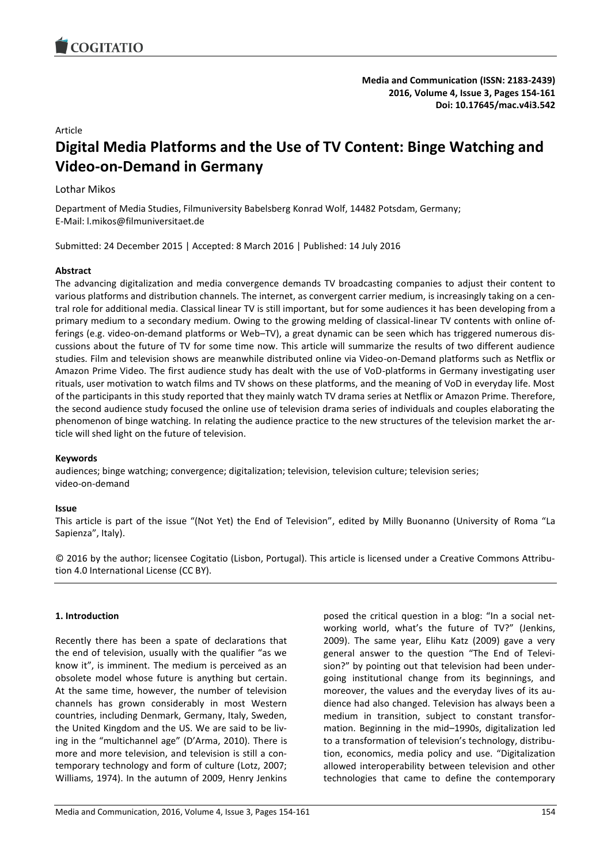

# Article

# **Digital Media Platforms and the Use of TV Content: Binge Watching and Video-on-Demand in Germany**

# Lothar Mikos

Department of Media Studies, Filmuniversity Babelsberg Konrad Wolf, 14482 Potsdam, Germany; E-Mail: l.mikos@filmuniversitaet.de

Submitted: 24 December 2015 | Accepted: 8 March 2016 | Published: 14 July 2016

#### **Abstract**

The advancing digitalization and media convergence demands TV broadcasting companies to adjust their content to various platforms and distribution channels. The internet, as convergent carrier medium, is increasingly taking on a central role for additional media. Classical linear TV is still important, but for some audiences it has been developing from a primary medium to a secondary medium. Owing to the growing melding of classical-linear TV contents with online offerings (e.g. video-on-demand platforms or Web–TV), a great dynamic can be seen which has triggered numerous discussions about the future of TV for some time now. This article will summarize the results of two different audience studies. Film and television shows are meanwhile distributed online via Video-on-Demand platforms such as Netflix or Amazon Prime Video. The first audience study has dealt with the use of VoD-platforms in Germany investigating user rituals, user motivation to watch films and TV shows on these platforms, and the meaning of VoD in everyday life. Most of the participants in this study reported that they mainly watch TV drama series at Netflix or Amazon Prime. Therefore, the second audience study focused the online use of television drama series of individuals and couples elaborating the phenomenon of binge watching. In relating the audience practice to the new structures of the television market the article will shed light on the future of television.

### **Keywords**

audiences; binge watching; convergence; digitalization; television, television culture; television series; video-on-demand

#### **Issue**

This article is part of the issue "(Not Yet) the End of Television", edited by Milly Buonanno (University of Roma "La Sapienza", Italy).

© 2016 by the author; licensee Cogitatio (Lisbon, Portugal). This article is licensed under a Creative Commons Attribution 4.0 International License (CC BY).

# **1. Introduction**

Recently there has been a spate of declarations that the end of television, usually with the qualifier "as we know it", is imminent. The medium is perceived as an obsolete model whose future is anything but certain. At the same time, however, the number of television channels has grown considerably in most Western countries, including Denmark, Germany, Italy, Sweden, the United Kingdom and the US. We are said to be living in the "multichannel age" (D'Arma, 2010). There is more and more television, and television is still a contemporary technology and form of culture (Lotz, 2007; Williams, 1974). In the autumn of 2009, Henry Jenkins

posed the critical question in a blog: "In a social networking world, what's the future of TV?" (Jenkins, 2009). The same year, Elihu Katz (2009) gave a very general answer to the question "The End of Television?" by pointing out that television had been undergoing institutional change from its beginnings, and moreover, the values and the everyday lives of its audience had also changed. Television has always been a medium in transition, subject to constant transformation. Beginning in the mid–1990s, digitalization led to a transformation of television's technology, distribution, economics, media policy and use. "Digitalization allowed interoperability between television and other technologies that came to define the contemporary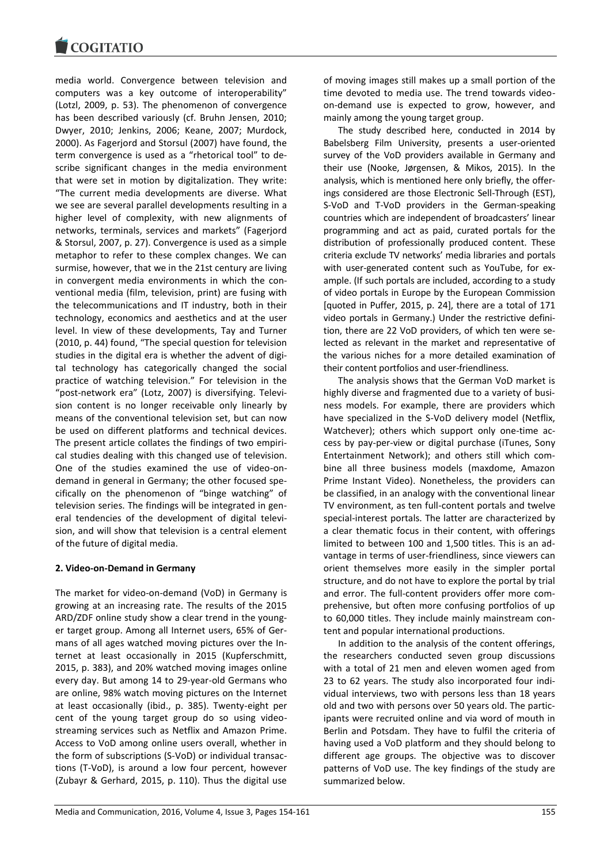

media world. Convergence between television and computers was a key outcome of interoperability" (Lotzl, 2009, p. 53). The phenomenon of convergence has been described variously (cf. Bruhn Jensen, 2010; Dwyer, 2010; Jenkins, 2006; Keane, 2007; Murdock, 2000). As Fagerjord and Storsul (2007) have found, the term convergence is used as a "rhetorical tool" to describe significant changes in the media environment that were set in motion by digitalization. They write: "The current media developments are diverse. What we see are several parallel developments resulting in a higher level of complexity, with new alignments of networks, terminals, services and markets" (Fagerjord & Storsul, 2007, p. 27). Convergence is used as a simple metaphor to refer to these complex changes. We can surmise, however, that we in the 21st century are living in convergent media environments in which the conventional media (film, television, print) are fusing with the telecommunications and IT industry, both in their technology, economics and aesthetics and at the user level. In view of these developments, Tay and Turner (2010, p. 44) found, "The special question for television studies in the digital era is whether the advent of digital technology has categorically changed the social practice of watching television." For television in the "post-network era" (Lotz, 2007) is diversifying. Television content is no longer receivable only linearly by means of the conventional television set, but can now be used on different platforms and technical devices. The present article collates the findings of two empirical studies dealing with this changed use of television. One of the studies examined the use of video-ondemand in general in Germany; the other focused specifically on the phenomenon of "binge watching" of television series. The findings will be integrated in general tendencies of the development of digital television, and will show that television is a central element of the future of digital media.

# **2. Video-on-Demand in Germany**

The market for video-on-demand (VoD) in Germany is growing at an increasing rate. The results of the 2015 ARD/ZDF online study show a clear trend in the younger target group. Among all Internet users, 65% of Germans of all ages watched moving pictures over the Internet at least occasionally in 2015 (Kupferschmitt, 2015, p. 383), and 20% watched moving images online every day. But among 14 to 29-year-old Germans who are online, 98% watch moving pictures on the Internet at least occasionally (ibid., p. 385). Twenty-eight per cent of the young target group do so using videostreaming services such as Netflix and Amazon Prime. Access to VoD among online users overall, whether in the form of subscriptions (S-VoD) or individual transactions (T-VoD), is around a low four percent, however (Zubayr & Gerhard, 2015, p. 110). Thus the digital use

of moving images still makes up a small portion of the time devoted to media use. The trend towards videoon-demand use is expected to grow, however, and mainly among the young target group.

The study described here, conducted in 2014 by Babelsberg Film University, presents a user-oriented survey of the VoD providers available in Germany and their use (Nooke, Jørgensen, & Mikos, 2015). In the analysis, which is mentioned here only briefly, the offerings considered are those Electronic Sell-Through (EST), S-VoD and T-VoD providers in the German-speaking countries which are independent of broadcasters' linear programming and act as paid, curated portals for the distribution of professionally produced content. These criteria exclude TV networks' media libraries and portals with user-generated content such as YouTube, for example. (If such portals are included, according to a study of video portals in Europe by the European Commission [quoted in Puffer, 2015, p. 24], there are a total of 171 video portals in Germany.) Under the restrictive definition, there are 22 VoD providers, of which ten were selected as relevant in the market and representative of the various niches for a more detailed examination of their content portfolios and user-friendliness.

The analysis shows that the German VoD market is highly diverse and fragmented due to a variety of business models. For example, there are providers which have specialized in the S-VoD delivery model (Netflix, Watchever); others which support only one-time access by pay-per-view or digital purchase (iTunes, Sony Entertainment Network); and others still which combine all three business models (maxdome, Amazon Prime Instant Video). Nonetheless, the providers can be classified, in an analogy with the conventional linear TV environment, as ten full-content portals and twelve special-interest portals. The latter are characterized by a clear thematic focus in their content, with offerings limited to between 100 and 1,500 titles. This is an advantage in terms of user-friendliness, since viewers can orient themselves more easily in the simpler portal structure, and do not have to explore the portal by trial and error. The full-content providers offer more comprehensive, but often more confusing portfolios of up to 60,000 titles. They include mainly mainstream content and popular international productions.

In addition to the analysis of the content offerings, the researchers conducted seven group discussions with a total of 21 men and eleven women aged from 23 to 62 years. The study also incorporated four individual interviews, two with persons less than 18 years old and two with persons over 50 years old. The participants were recruited online and via word of mouth in Berlin and Potsdam. They have to fulfil the criteria of having used a VoD platform and they should belong to different age groups. The objective was to discover patterns of VoD use. The key findings of the study are summarized below.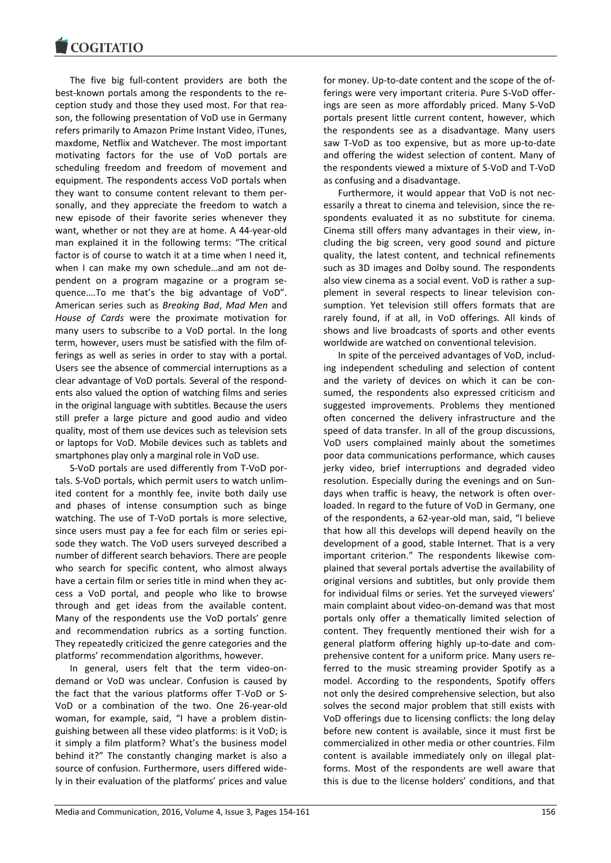The five big full-content providers are both the best-known portals among the respondents to the reception study and those they used most. For that reason, the following presentation of VoD use in Germany refers primarily to Amazon Prime Instant Video, iTunes, maxdome, Netflix and Watchever. The most important motivating factors for the use of VoD portals are scheduling freedom and freedom of movement and equipment. The respondents access VoD portals when they want to consume content relevant to them personally, and they appreciate the freedom to watch a new episode of their favorite series whenever they want, whether or not they are at home. A 44-year-old man explained it in the following terms: "The critical factor is of course to watch it at a time when I need it, when I can make my own schedule...and am not dependent on a program magazine or a program sequence….To me that's the big advantage of VoD". American series such as *Breaking Bad*, *Mad Men* and *House of Cards* were the proximate motivation for many users to subscribe to a VoD portal. In the long term, however, users must be satisfied with the film offerings as well as series in order to stay with a portal. Users see the absence of commercial interruptions as a clear advantage of VoD portals. Several of the respondents also valued the option of watching films and series in the original language with subtitles. Because the users still prefer a large picture and good audio and video quality, most of them use devices such as television sets or laptops for VoD. Mobile devices such as tablets and smartphones play only a marginal role in VoD use.

S-VoD portals are used differently from T-VoD portals. S-VoD portals, which permit users to watch unlimited content for a monthly fee, invite both daily use and phases of intense consumption such as binge watching. The use of T-VoD portals is more selective, since users must pay a fee for each film or series episode they watch. The VoD users surveyed described a number of different search behaviors. There are people who search for specific content, who almost always have a certain film or series title in mind when they access a VoD portal, and people who like to browse through and get ideas from the available content. Many of the respondents use the VoD portals' genre and recommendation rubrics as a sorting function. They repeatedly criticized the genre categories and the platforms' recommendation algorithms, however.

In general, users felt that the term video-ondemand or VoD was unclear. Confusion is caused by the fact that the various platforms offer T-VoD or S-VoD or a combination of the two. One 26-year-old woman, for example, said, "I have a problem distinguishing between all these video platforms: is it VoD; is it simply a film platform? What's the business model behind it?" The constantly changing market is also a source of confusion. Furthermore, users differed widely in their evaluation of the platforms' prices and value for money. Up-to-date content and the scope of the offerings were very important criteria. Pure S-VoD offerings are seen as more affordably priced. Many S-VoD portals present little current content, however, which the respondents see as a disadvantage. Many users saw T-VoD as too expensive, but as more up-to-date and offering the widest selection of content. Many of the respondents viewed a mixture of S-VoD and T-VoD as confusing and a disadvantage.

Furthermore, it would appear that VoD is not necessarily a threat to cinema and television, since the respondents evaluated it as no substitute for cinema. Cinema still offers many advantages in their view, including the big screen, very good sound and picture quality, the latest content, and technical refinements such as 3D images and Dolby sound. The respondents also view cinema as a social event. VoD is rather a supplement in several respects to linear television consumption. Yet television still offers formats that are rarely found, if at all, in VoD offerings. All kinds of shows and live broadcasts of sports and other events worldwide are watched on conventional television.

In spite of the perceived advantages of VoD, including independent scheduling and selection of content and the variety of devices on which it can be consumed, the respondents also expressed criticism and suggested improvements. Problems they mentioned often concerned the delivery infrastructure and the speed of data transfer. In all of the group discussions, VoD users complained mainly about the sometimes poor data communications performance, which causes jerky video, brief interruptions and degraded video resolution. Especially during the evenings and on Sundays when traffic is heavy, the network is often overloaded. In regard to the future of VoD in Germany, one of the respondents, a 62-year-old man, said, "I believe that how all this develops will depend heavily on the development of a good, stable Internet. That is a very important criterion." The respondents likewise complained that several portals advertise the availability of original versions and subtitles, but only provide them for individual films or series. Yet the surveyed viewers' main complaint about video-on-demand was that most portals only offer a thematically limited selection of content. They frequently mentioned their wish for a general platform offering highly up-to-date and comprehensive content for a uniform price. Many users referred to the music streaming provider Spotify as a model. According to the respondents, Spotify offers not only the desired comprehensive selection, but also solves the second major problem that still exists with VoD offerings due to licensing conflicts: the long delay before new content is available, since it must first be commercialized in other media or other countries. Film content is available immediately only on illegal platforms. Most of the respondents are well aware that this is due to the license holders' conditions, and that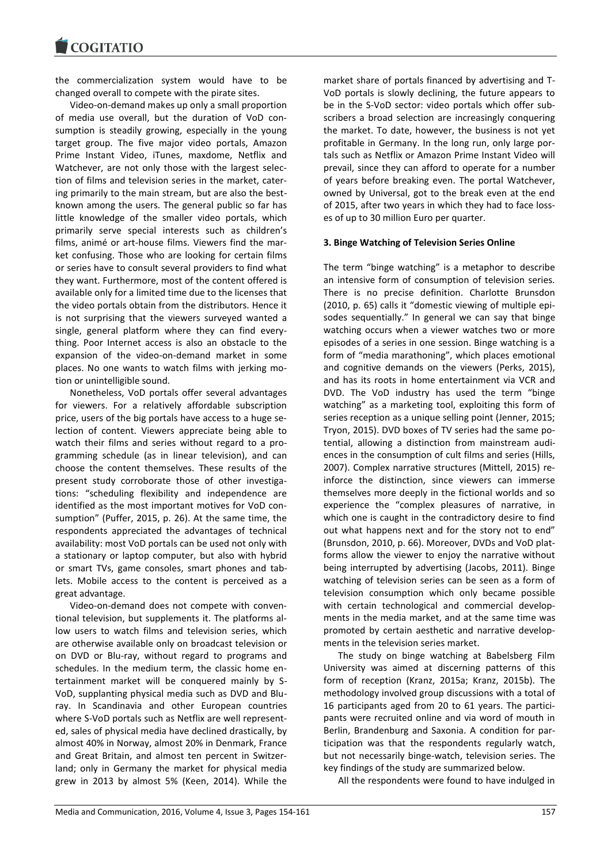the commercialization system would have to be changed overall to compete with the pirate sites.

Video-on-demand makes up only a small proportion of media use overall, but the duration of VoD consumption is steadily growing, especially in the young target group. The five major video portals, Amazon Prime Instant Video, iTunes, maxdome, Netflix and Watchever, are not only those with the largest selection of films and television series in the market, catering primarily to the main stream, but are also the bestknown among the users. The general public so far has little knowledge of the smaller video portals, which primarily serve special interests such as children's films, animé or art-house films. Viewers find the market confusing. Those who are looking for certain films or series have to consult several providers to find what they want. Furthermore, most of the content offered is available only for a limited time due to the licenses that the video portals obtain from the distributors. Hence it is not surprising that the viewers surveyed wanted a single, general platform where they can find everything. Poor Internet access is also an obstacle to the expansion of the video-on-demand market in some places. No one wants to watch films with jerking motion or unintelligible sound.

Nonetheless, VoD portals offer several advantages for viewers. For a relatively affordable subscription price, users of the big portals have access to a huge selection of content. Viewers appreciate being able to watch their films and series without regard to a programming schedule (as in linear television), and can choose the content themselves. These results of the present study corroborate those of other investigations: "scheduling flexibility and independence are identified as the most important motives for VoD consumption" (Puffer, 2015, p. 26). At the same time, the respondents appreciated the advantages of technical availability: most VoD portals can be used not only with a stationary or laptop computer, but also with hybrid or smart TVs, game consoles, smart phones and tablets. Mobile access to the content is perceived as a great advantage.

Video-on-demand does not compete with conventional television, but supplements it. The platforms allow users to watch films and television series, which are otherwise available only on broadcast television or on DVD or Blu-ray, without regard to programs and schedules. In the medium term, the classic home entertainment market will be conquered mainly by S-VoD, supplanting physical media such as DVD and Bluray. In Scandinavia and other European countries where S-VoD portals such as Netflix are well represented, sales of physical media have declined drastically, by almost 40% in Norway, almost 20% in Denmark, France and Great Britain, and almost ten percent in Switzerland; only in Germany the market for physical media grew in 2013 by almost 5% (Keen, 2014). While the market share of portals financed by advertising and T-VoD portals is slowly declining, the future appears to be in the S-VoD sector: video portals which offer subscribers a broad selection are increasingly conquering the market. To date, however, the business is not yet profitable in Germany. In the long run, only large portals such as Netflix or Amazon Prime Instant Video will prevail, since they can afford to operate for a number of years before breaking even. The portal Watchever, owned by Universal, got to the break even at the end of 2015, after two years in which they had to face losses of up to 30 million Euro per quarter.

# **3. Binge Watching of Television Series Online**

The term "binge watching" is a metaphor to describe an intensive form of consumption of television series. There is no precise definition. Charlotte Brunsdon (2010, p. 65) calls it "domestic viewing of multiple episodes sequentially." In general we can say that binge watching occurs when a viewer watches two or more episodes of a series in one session. Binge watching is a form of "media marathoning", which places emotional and cognitive demands on the viewers (Perks, 2015), and has its roots in home entertainment via VCR and DVD. The VoD industry has used the term "binge watching" as a marketing tool, exploiting this form of series reception as a unique selling point (Jenner, 2015; Tryon, 2015). DVD boxes of TV series had the same potential, allowing a distinction from mainstream audiences in the consumption of cult films and series (Hills, 2007). Complex narrative structures (Mittell, 2015) reinforce the distinction, since viewers can immerse themselves more deeply in the fictional worlds and so experience the "complex pleasures of narrative, in which one is caught in the contradictory desire to find out what happens next and for the story not to end" (Brunsdon, 2010, p. 66). Moreover, DVDs and VoD platforms allow the viewer to enjoy the narrative without being interrupted by advertising (Jacobs, 2011). Binge watching of television series can be seen as a form of television consumption which only became possible with certain technological and commercial developments in the media market, and at the same time was promoted by certain aesthetic and narrative developments in the television series market.

The study on binge watching at Babelsberg Film University was aimed at discerning patterns of this form of reception (Kranz, 2015a; Kranz, 2015b). The methodology involved group discussions with a total of 16 participants aged from 20 to 61 years. The participants were recruited online and via word of mouth in Berlin, Brandenburg and Saxonia. A condition for participation was that the respondents regularly watch, but not necessarily binge-watch, television series. The key findings of the study are summarized below.

All the respondents were found to have indulged in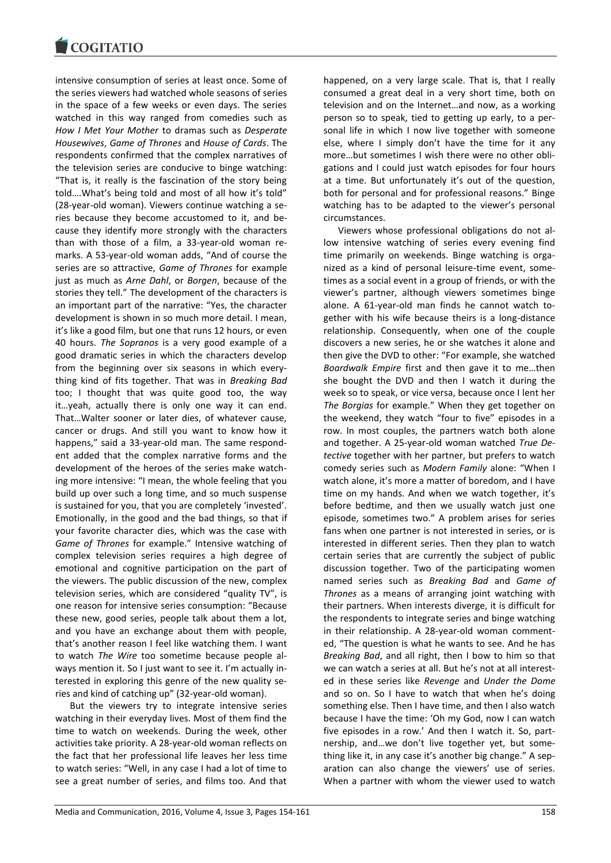

intensive consumption of series at least once. Some of the series viewers had watched whole seasons of series in the space of a few weeks or even days. The series watched in this way ranged from comedies such as *How I Met Your Mother* to dramas such as *Desperate Housewives*, *Game of Thrones* and *House of Cards*. The respondents confirmed that the complex narratives of the television series are conducive to binge watching: "That is, it really is the fascination of the story being told….What's being told and most of all how it's told" (28-year-old woman). Viewers continue watching a series because they become accustomed to it, and because they identify more strongly with the characters than with those of a film, a 33-year-old woman remarks. A 53-year-old woman adds, "And of course the series are so attractive, *Game of Thrones* for example just as much as *Arne Dahl*, or *Borgen*, because of the stories they tell." The development of the characters is an important part of the narrative: "Yes, the character development is shown in so much more detail. I mean, it's like a good film, but one that runs 12 hours, or even 40 hours. *The Sopranos* is a very good example of a good dramatic series in which the characters develop from the beginning over six seasons in which everything kind of fits together. That was in *Breaking Bad* too; I thought that was quite good too, the way it…yeah, actually there is only one way it can end. That…Walter sooner or later dies, of whatever cause, cancer or drugs. And still you want to know how it happens," said a 33-year-old man. The same respondent added that the complex narrative forms and the development of the heroes of the series make watching more intensive: "I mean, the whole feeling that you build up over such a long time, and so much suspense is sustained for you, that you are completely 'invested'. Emotionally, in the good and the bad things, so that if your favorite character dies, which was the case with *Game of Thrones* for example." Intensive watching of complex television series requires a high degree of emotional and cognitive participation on the part of the viewers. The public discussion of the new, complex television series, which are considered "quality TV", is one reason for intensive series consumption: "Because these new, good series, people talk about them a lot, and you have an exchange about them with people, that's another reason I feel like watching them. I want to watch *The Wire* too sometime because people always mention it. So I just want to see it. I'm actually interested in exploring this genre of the new quality series and kind of catching up" (32-year-old woman).

But the viewers try to integrate intensive series watching in their everyday lives. Most of them find the time to watch on weekends. During the week, other activities take priority. A 28-year-old woman reflects on the fact that her professional life leaves her less time to watch series: "Well, in any case I had a lot of time to see a great number of series, and films too. And that

happened, on a very large scale. That is, that I really consumed a great deal in a very short time, both on television and on the Internet…and now, as a working person so to speak, tied to getting up early, to a personal life in which I now live together with someone else, where I simply don't have the time for it any more…but sometimes I wish there were no other obligations and I could just watch episodes for four hours at a time. But unfortunately it's out of the question, both for personal and for professional reasons." Binge watching has to be adapted to the viewer's personal circumstances.

Viewers whose professional obligations do not allow intensive watching of series every evening find time primarily on weekends. Binge watching is organized as a kind of personal leisure-time event, sometimes as a social event in a group of friends, or with the viewer's partner, although viewers sometimes binge alone. A 61-year-old man finds he cannot watch together with his wife because theirs is a long-distance relationship. Consequently, when one of the couple discovers a new series, he or she watches it alone and then give the DVD to other: "For example, she watched *Boardwalk Empire* first and then gave it to me…then she bought the DVD and then I watch it during the week so to speak, or vice versa, because once I lent her *The Borgias* for example." When they get together on the weekend, they watch "four to five" episodes in a row. In most couples, the partners watch both alone and together. A 25-year-old woman watched *True Detective* together with her partner, but prefers to watch comedy series such as *Modern Family* alone: "When I watch alone, it's more a matter of boredom, and I have time on my hands. And when we watch together, it's before bedtime, and then we usually watch just one episode, sometimes two." A problem arises for series fans when one partner is not interested in series, or is interested in different series. Then they plan to watch certain series that are currently the subject of public discussion together. Two of the participating women named series such as *Breaking Bad* and *Game of Thrones* as a means of arranging joint watching with their partners. When interests diverge, it is difficult for the respondents to integrate series and binge watching in their relationship. A 28-year-old woman commented, "The question is what he wants to see. And he has *Breaking Bad*, and all right, then I bow to him so that we can watch a series at all. But he's not at all interested in these series like *Revenge* and *Under the Dome* and so on. So I have to watch that when he's doing something else. Then I have time, and then I also watch because I have the time: 'Oh my God, now I can watch five episodes in a row.' And then I watch it. So, partnership, and…we don't live together yet, but something like it, in any case it's another big change." A separation can also change the viewers' use of series. When a partner with whom the viewer used to watch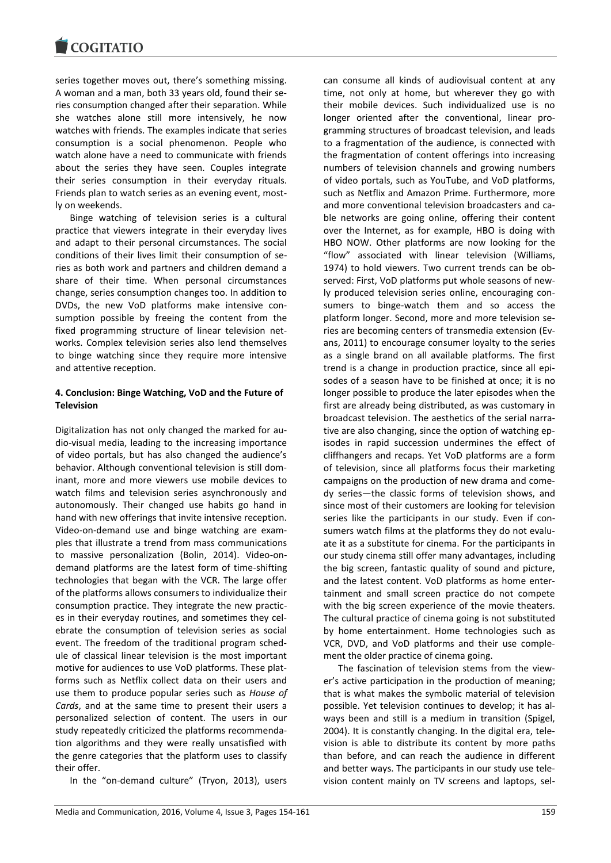series together moves out, there's something missing. A woman and a man, both 33 years old, found their series consumption changed after their separation. While she watches alone still more intensively, he now watches with friends. The examples indicate that series consumption is a social phenomenon. People who watch alone have a need to communicate with friends about the series they have seen. Couples integrate their series consumption in their everyday rituals. Friends plan to watch series as an evening event, mostly on weekends.

Binge watching of television series is a cultural practice that viewers integrate in their everyday lives and adapt to their personal circumstances. The social conditions of their lives limit their consumption of series as both work and partners and children demand a share of their time. When personal circumstances change, series consumption changes too. In addition to DVDs, the new VoD platforms make intensive consumption possible by freeing the content from the fixed programming structure of linear television networks. Complex television series also lend themselves to binge watching since they require more intensive and attentive reception.

# **4. Conclusion: Binge Watching, VoD and the Future of Television**

Digitalization has not only changed the marked for audio-visual media, leading to the increasing importance of video portals, but has also changed the audience's behavior. Although conventional television is still dominant, more and more viewers use mobile devices to watch films and television series asynchronously and autonomously. Their changed use habits go hand in hand with new offerings that invite intensive reception. Video-on-demand use and binge watching are examples that illustrate a trend from mass communications to massive personalization (Bolin, 2014). Video-ondemand platforms are the latest form of time-shifting technologies that began with the VCR. The large offer of the platforms allows consumers to individualize their consumption practice. They integrate the new practices in their everyday routines, and sometimes they celebrate the consumption of television series as social event. The freedom of the traditional program schedule of classical linear television is the most important motive for audiences to use VoD platforms. These platforms such as Netflix collect data on their users and use them to produce popular series such as *House of Cards*, and at the same time to present their users a personalized selection of content. The users in our study repeatedly criticized the platforms recommendation algorithms and they were really unsatisfied with the genre categories that the platform uses to classify their offer.

In the "on-demand culture" (Tryon, 2013), users

can consume all kinds of audiovisual content at any time, not only at home, but wherever they go with their mobile devices. Such individualized use is no longer oriented after the conventional, linear programming structures of broadcast television, and leads to a fragmentation of the audience, is connected with the fragmentation of content offerings into increasing numbers of television channels and growing numbers of video portals, such as YouTube, and VoD platforms, such as Netflix and Amazon Prime. Furthermore, more and more conventional television broadcasters and cable networks are going online, offering their content over the Internet, as for example, HBO is doing with HBO NOW. Other platforms are now looking for the "flow" associated with linear television (Williams, 1974) to hold viewers. Two current trends can be observed: First, VoD platforms put whole seasons of newly produced television series online, encouraging consumers to binge-watch them and so access the platform longer. Second, more and more television series are becoming centers of transmedia extension (Evans, 2011) to encourage consumer loyalty to the series as a single brand on all available platforms. The first trend is a change in production practice, since all episodes of a season have to be finished at once; it is no longer possible to produce the later episodes when the first are already being distributed, as was customary in broadcast television. The aesthetics of the serial narrative are also changing, since the option of watching episodes in rapid succession undermines the effect of cliffhangers and recaps. Yet VoD platforms are a form of television, since all platforms focus their marketing campaigns on the production of new drama and comedy series—the classic forms of television shows, and since most of their customers are looking for television series like the participants in our study. Even if consumers watch films at the platforms they do not evaluate it as a substitute for cinema. For the participants in our study cinema still offer many advantages, including the big screen, fantastic quality of sound and picture, and the latest content. VoD platforms as home entertainment and small screen practice do not compete with the big screen experience of the movie theaters. The cultural practice of cinema going is not substituted by home entertainment. Home technologies such as VCR, DVD, and VoD platforms and their use complement the older practice of cinema going.

The fascination of television stems from the viewer's active participation in the production of meaning; that is what makes the symbolic material of television possible. Yet television continues to develop; it has always been and still is a medium in transition (Spigel, 2004). It is constantly changing. In the digital era, television is able to distribute its content by more paths than before, and can reach the audience in different and better ways. The participants in our study use television content mainly on TV screens and laptops, sel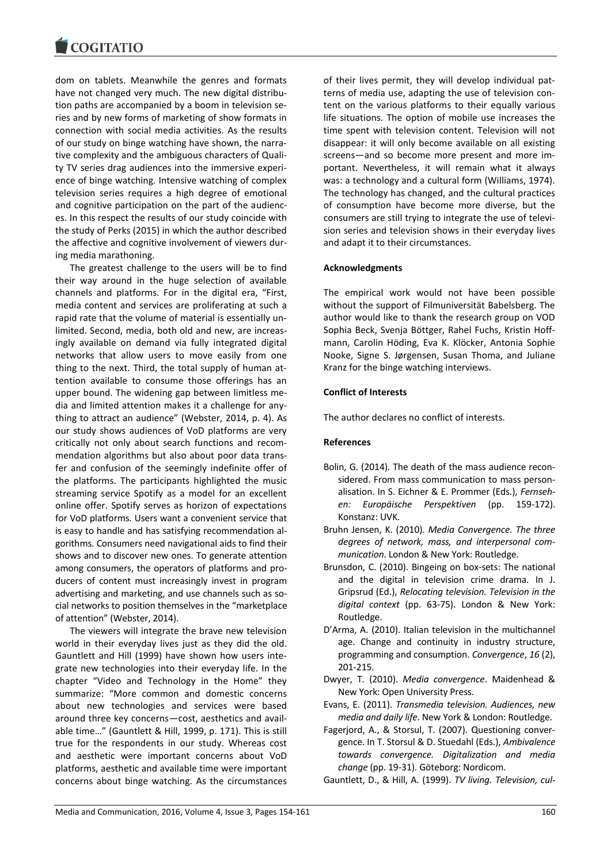dom on tablets. Meanwhile the genres and formats have not changed very much. The new digital distribution paths are accompanied by a boom in television series and by new forms of marketing of show formats in connection with social media activities. As the results of our study on binge watching have shown, the narrative complexity and the ambiguous characters of Quality TV series drag audiences into the immersive experience of binge watching. Intensive watching of complex television series requires a high degree of emotional and cognitive participation on the part of the audiences. In this respect the results of our study coincide with the study of Perks (2015) in which the author described the affective and cognitive involvement of viewers during media marathoning.

The greatest challenge to the users will be to find their way around in the huge selection of available channels and platforms. For in the digital era, "First, media content and services are proliferating at such a rapid rate that the volume of material is essentially unlimited. Second, media, both old and new, are increasingly available on demand via fully integrated digital networks that allow users to move easily from one thing to the next. Third, the total supply of human attention available to consume those offerings has an upper bound. The widening gap between limitless media and limited attention makes it a challenge for anything to attract an audience" (Webster, 2014, p. 4). As our study shows audiences of VoD platforms are very critically not only about search functions and recommendation algorithms but also about poor data transfer and confusion of the seemingly indefinite offer of the platforms. The participants highlighted the music streaming service Spotify as a model for an excellent online offer. Spotify serves as horizon of expectations for VoD platforms. Users want a convenient service that is easy to handle and has satisfying recommendation algorithms. Consumers need navigational aids to find their shows and to discover new ones. To generate attention among consumers, the operators of platforms and producers of content must increasingly invest in program advertising and marketing, and use channels such as social networks to position themselves in the "marketplace of attention" (Webster, 2014).

The viewers will integrate the brave new television world in their everyday lives just as they did the old. Gauntlett and Hill (1999) have shown how users integrate new technologies into their everyday life. In the chapter "Video and Technology in the Home" they summarize: "More common and domestic concerns about new technologies and services were based around three key concerns—cost, aesthetics and available time…" (Gauntlett & Hill, 1999, p. 171). This is still true for the respondents in our study. Whereas cost and aesthetic were important concerns about VoD platforms, aesthetic and available time were important concerns about binge watching. As the circumstances

of their lives permit, they will develop individual patterns of media use, adapting the use of television content on the various platforms to their equally various life situations. The option of mobile use increases the time spent with television content. Television will not disappear: it will only become available on all existing screens—and so become more present and more important. Nevertheless, it will remain what it always was: a technology and a cultural form (Williams, 1974). The technology has changed, and the cultural practices of consumption have become more diverse, but the consumers are still trying to integrate the use of television series and television shows in their everyday lives and adapt it to their circumstances.

# **Acknowledgments**

The empirical work would not have been possible without the support of Filmuniversität Babelsberg. The author would like to thank the research group on VOD Sophia Beck, Svenja Böttger, Rahel Fuchs, Kristin Hoffmann, Carolin Höding, Eva K. Klöcker, Antonia Sophie Nooke, Signe S. Jørgensen, Susan Thoma, and Juliane Kranz for the binge watching interviews.

#### **Conflict of Interests**

The author declares no conflict of interests.

#### **References**

- Bolin, G. (2014). The death of the mass audience reconsidered. From mass communication to mass personalisation. In S. Eichner & E. Prommer (Eds.), *Fernsehen: Europäische Perspektiven* (pp. 159-172). Konstanz: UVK.
- Bruhn Jensen, K. (2010). *Media Convergence. The three degrees of network, mass, and interpersonal communication*. London & New York: Routledge.
- Brunsdon, C. (2010). Bingeing on box-sets: The national and the digital in television crime drama. In J. Gripsrud (Ed.), *Relocating television. Television in the digital context* (pp. 63-75). London & New York: Routledge.
- D'Arma, A. (2010). Italian television in the multichannel age. Change and continuity in industry structure, programming and consumption. *Convergence*, *16* (2), 201-215.
- Dwyer, T. (2010). *Media convergence*. Maidenhead & New York: Open University Press.
- Evans, E. (2011). *Transmedia television. Audiences, new media and daily life*. New York & London: Routledge.
- Fagerjord, A., & Storsul, T. (2007). Questioning convergence. In T. Storsul & D. Stuedahl (Eds.), *Ambivalence towards convergence. Digitalization and media change* (pp. 19-31). Göteborg: Nordicom.

Gauntlett, D., & Hill, A. (1999). *TV living. Television, cul-*